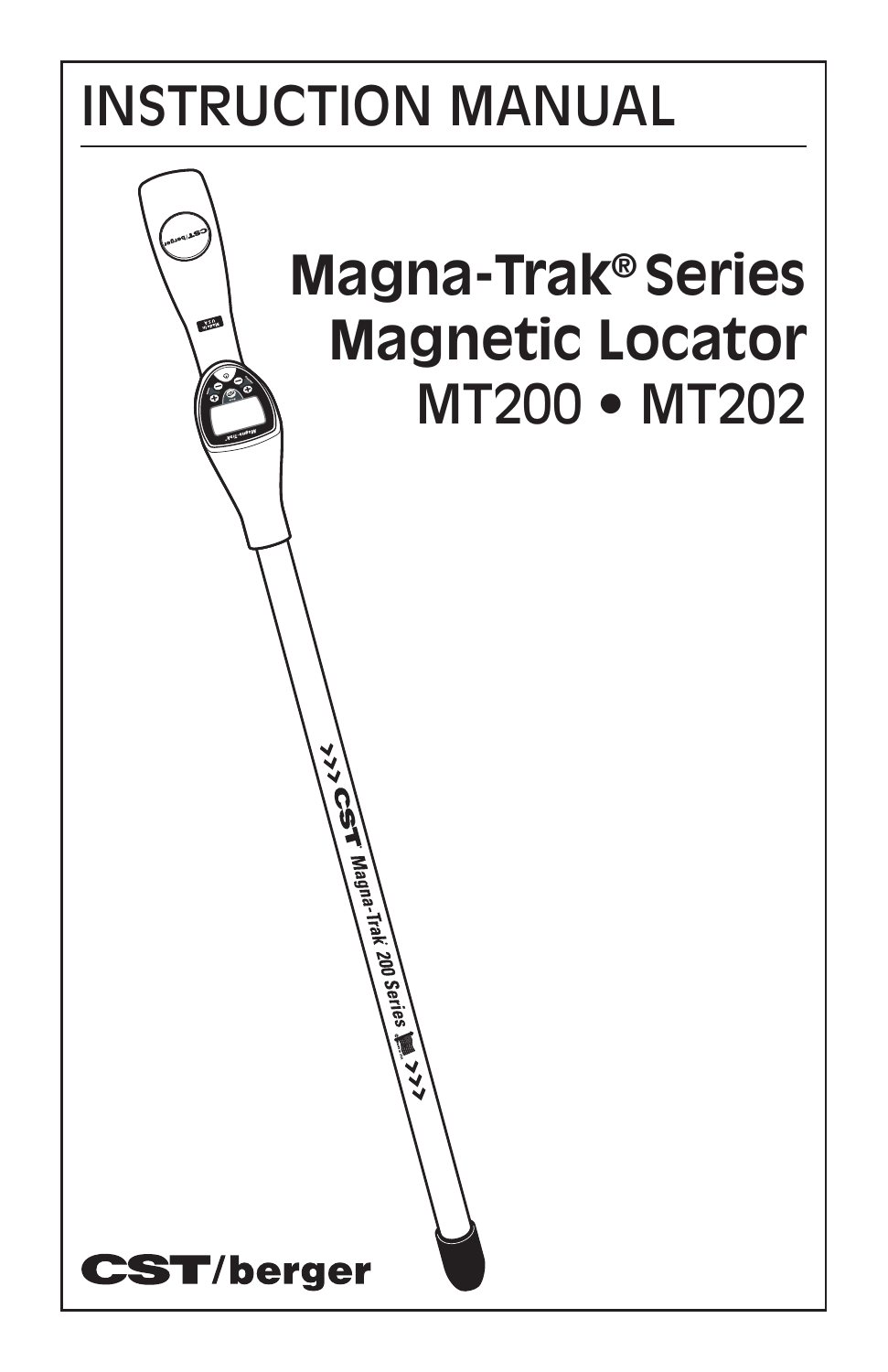# INSTRUCTION MANUAL

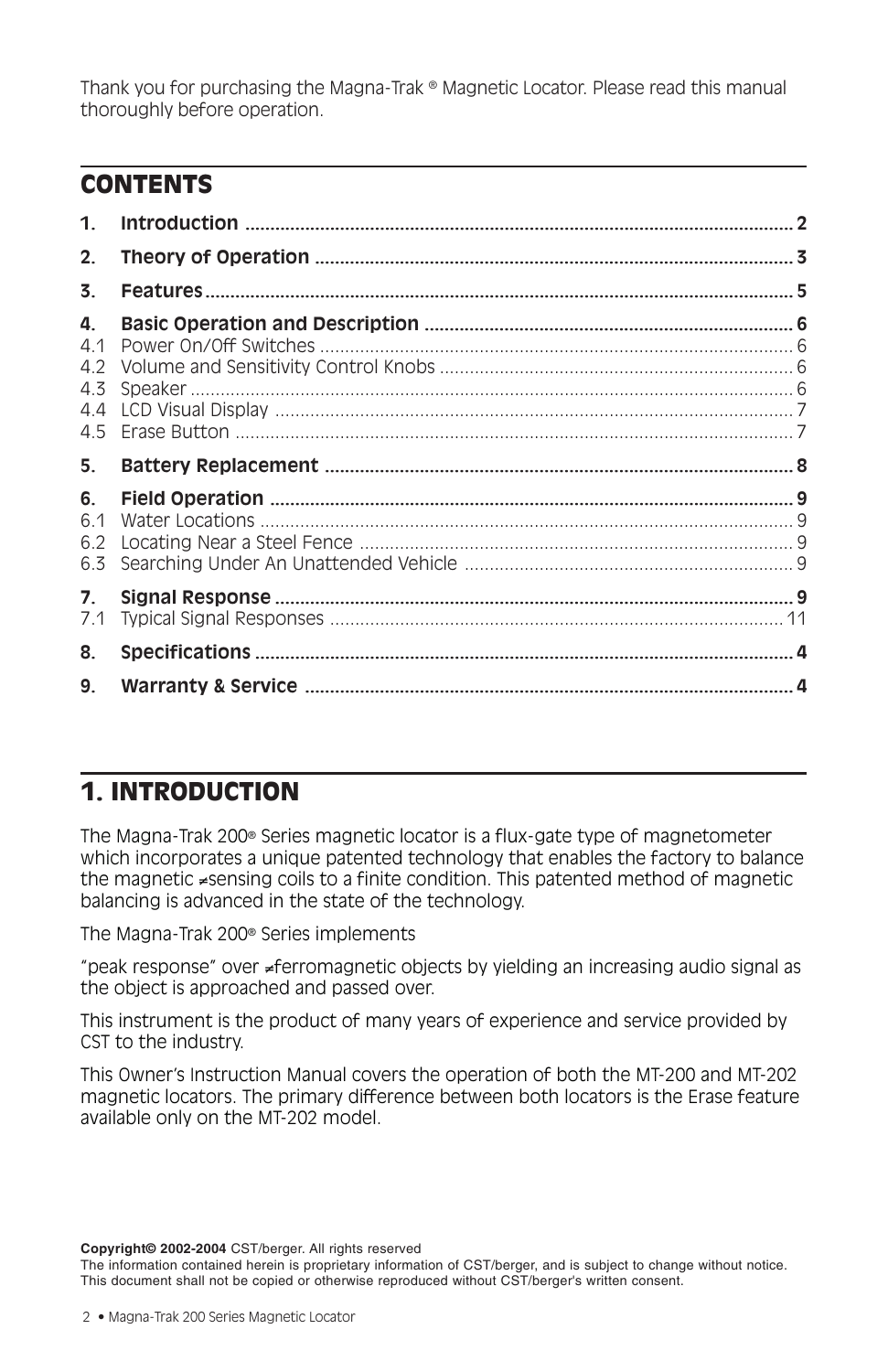Thank you for purchasing the Magna-Trak ® Magnetic Locator. Please read this manual thoroughly before operation.

## **CONTENTS**

| 1.                      |  |
|-------------------------|--|
| 2.                      |  |
| 3.                      |  |
| 4.<br>4.1<br>4.3<br>4.4 |  |
| 5.                      |  |
| 6.                      |  |
| 6.1<br>6.2<br>6.3       |  |
| 7 <sup>1</sup><br>7.1   |  |
| 8.                      |  |
| 9.                      |  |

## 1. INTRODUCTION

The Magna-Trak 200® Series magnetic locator is a flux-gate type of magnetometer which incorporates a unique patented technology that enables the factory to balance the magnetic ≠sensing coils to a finite condition. This patented method of magnetic balancing is advanced in the state of the technology.

The Magna-Trak 200® Series implements

"peak response" over ≠ferromagnetic objects by yielding an increasing audio signal as the object is approached and passed over.

This instrument is the product of many years of experience and service provided by CST to the industry.

This Owner's Instruction Manual covers the operation of both the MT-200 and MT-202 magnetic locators. The primary difference between both locators is the Erase feature available only on the MT-202 model.

**Copyright© 2002-2004** CST/berger. All rights reserved

The information contained herein is proprietary information of CST/berger, and is subject to change without notice. This document shall not be copied or otherwise reproduced without CST/berger's written consent.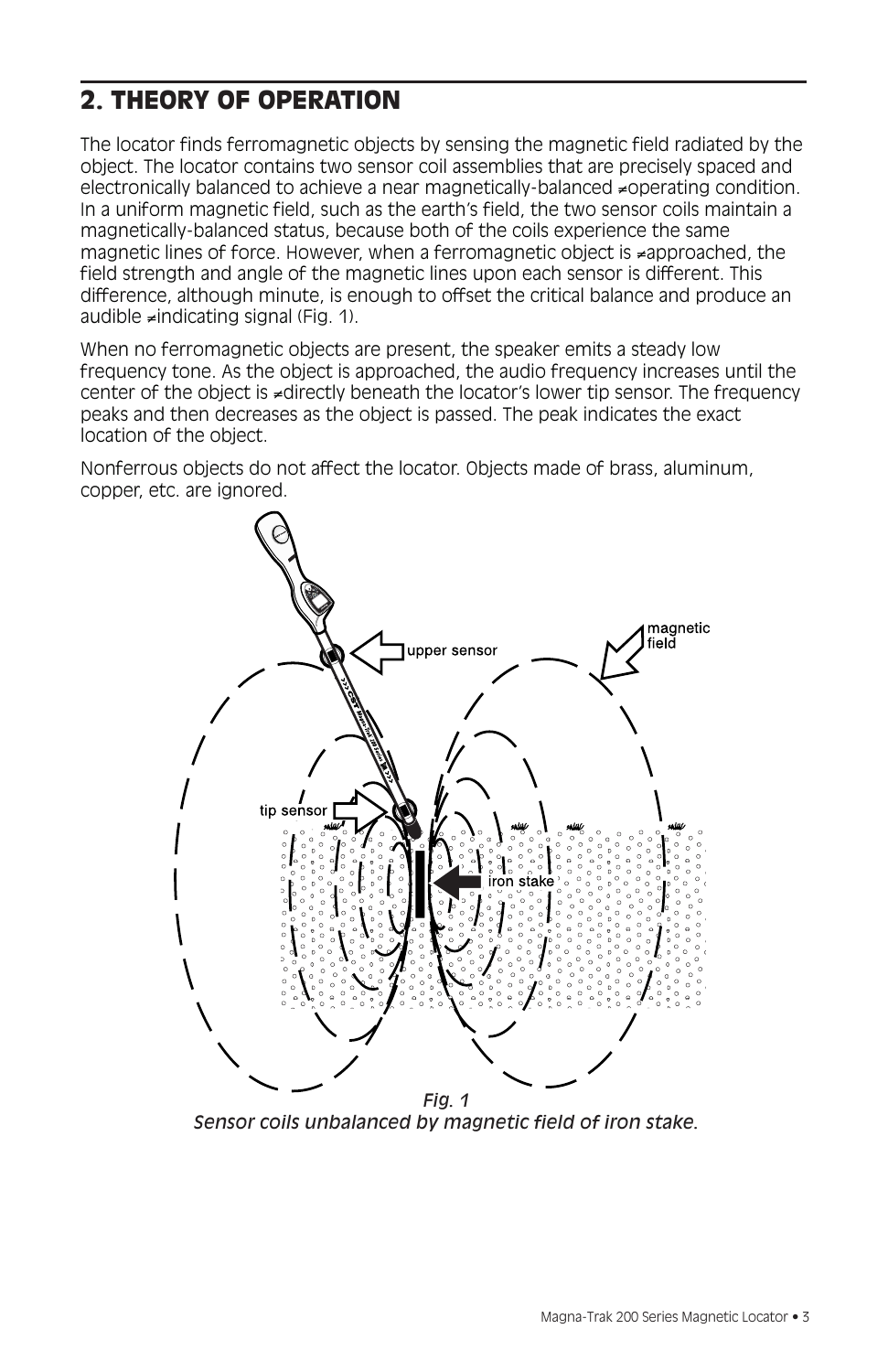## 2. THEORY OF OPERATION

The locator finds ferromagnetic objects by sensing the magnetic field radiated by the object. The locator contains two sensor coil assemblies that are precisely spaced and electronically balanced to achieve a near magnetically-balanced ≠operating condition. In a uniform magnetic field, such as the earth's field, the two sensor coils maintain a magnetically-balanced status, because both of the coils experience the same magnetic lines of force. However, when a ferromagnetic object is ≠approached, the field strength and angle of the magnetic lines upon each sensor is different. This difference, although minute, is enough to offset the critical balance and produce an audible ≠indicating signal (Fig. 1).

When no ferromagnetic objects are present, the speaker emits a steady low frequency tone. As the object is approached, the audio frequency increases until the center of the object is ≠directly beneath the locator's lower tip sensor. The frequency peaks and then decreases as the object is passed. The peak indicates the exact location of the object.

Nonferrous objects do not affect the locator. Objects made of brass, aluminum, copper, etc. are ignored.



*Sensor coils unbalanced by magnetic field of iron stake.*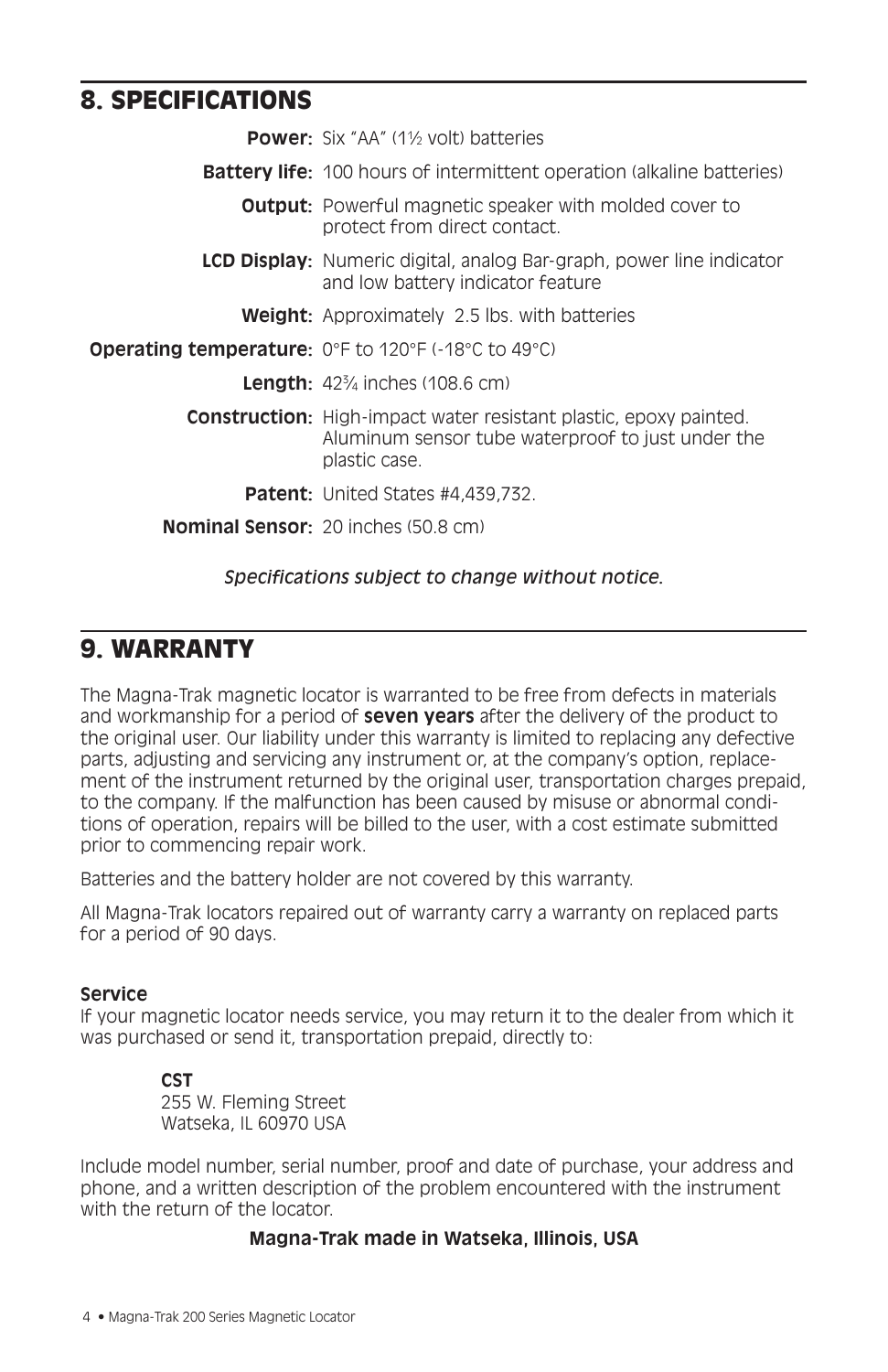## 8. SPECIFICATIONS

| <b>Power:</b> Six "AA" (1% volt) batteries                                                                                                     |
|------------------------------------------------------------------------------------------------------------------------------------------------|
| <b>Battery life:</b> 100 hours of intermittent operation (alkaline batteries)                                                                  |
| <b>Output:</b> Powerful magnetic speaker with molded cover to<br>protect from direct contact.                                                  |
| <b>LCD Display:</b> Numeric digital, analog Bar-graph, power line indicator<br>and low battery indicator feature                               |
| <b>Weight:</b> Approximately 2.5 lbs. with batteries                                                                                           |
| <b>Operating temperature:</b> O°F to 120°F (-18°C to 49°C)                                                                                     |
| <b>Length:</b> $42\frac{3}{4}$ inches (108.6 cm)                                                                                               |
| <b>Construction:</b> High-impact water resistant plastic, epoxy painted.<br>Aluminum sensor tube waterproof to just under the<br>plastic case. |
| <b>Patent:</b> United States #4,439,732.                                                                                                       |
| <b>Nominal Sensor:</b> $20$ inches $(50.8 \text{ cm})$                                                                                         |

# *Specifications subject to change without notice.*

## 9. WARRANTY

The Magna-Trak magnetic locator is warranted to be free from defects in materials and workmanship for a period of **seven years** after the delivery of the product to the original user. Our liability under this warranty is limited to replacing any defective parts, adjusting and servicing any instrument or, at the company's option, replacement of the instrument returned by the original user, transportation charges prepaid, to the company. If the malfunction has been caused by misuse or abnormal conditions of operation, repairs will be billed to the user, with a cost estimate submitted prior to commencing repair work.

Batteries and the battery holder are not covered by this warranty.

All Magna-Trak locators repaired out of warranty carry a warranty on replaced parts for a period of 90 days.

#### **Service**

If your magnetic locator needs service, you may return it to the dealer from which it was purchased or send it, transportation prepaid, directly to:

#### **CST** 255 W. Fleming Street Watseka, IL 60970 USA

Include model number, serial number, proof and date of purchase, your address and phone, and a written description of the problem encountered with the instrument with the return of the locator.

#### **Magna-Trak made in Watseka, Illinois, USA**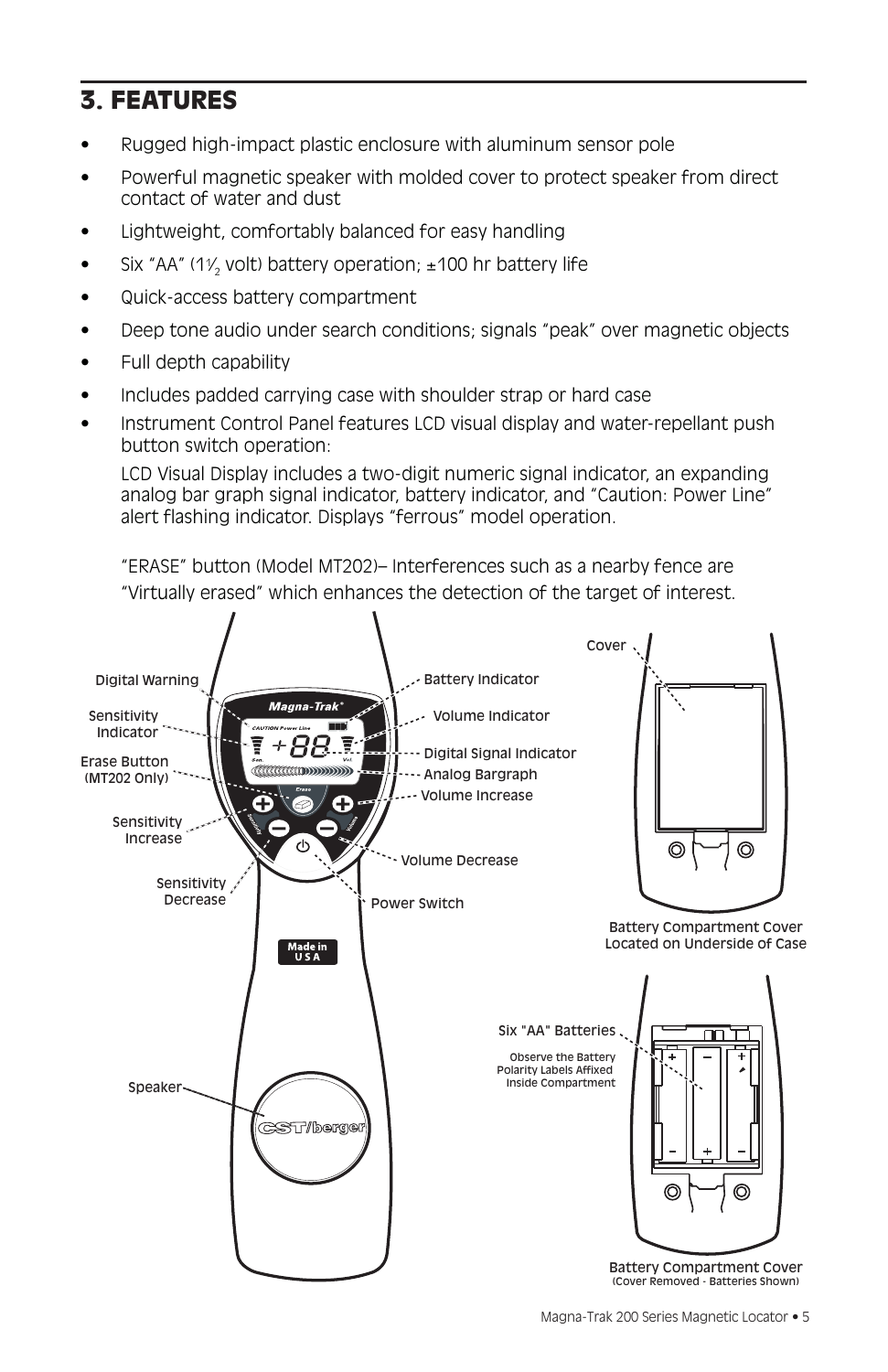## 3. FEATURES

- Rugged high-impact plastic enclosure with aluminum sensor pole
- Powerful magnetic speaker with molded cover to protect speaker from direct contact of water and dust
- Lightweight, comfortably balanced for easy handling
- Six "AA" (1 $\frac{1}{2}$  volt) battery operation;  $\pm$ 100 hr battery life
- Quick-access battery compartment
- Deep tone audio under search conditions; signals "peak" over magnetic objects
- Full depth capability
- Includes padded carrying case with shoulder strap or hard case
- Instrument Control Panel features LCD visual display and water-repellant push button switch operation:

LCD Visual Display includes a two-digit numeric signal indicator, an expanding analog bar graph signal indicator, battery indicator, and "Caution: Power Line" alert flashing indicator. Displays "ferrous" model operation.

"ERASE" button (Model MT202)– Interferences such as a nearby fence are "Virtually erased" which enhances the detection of the target of interest.

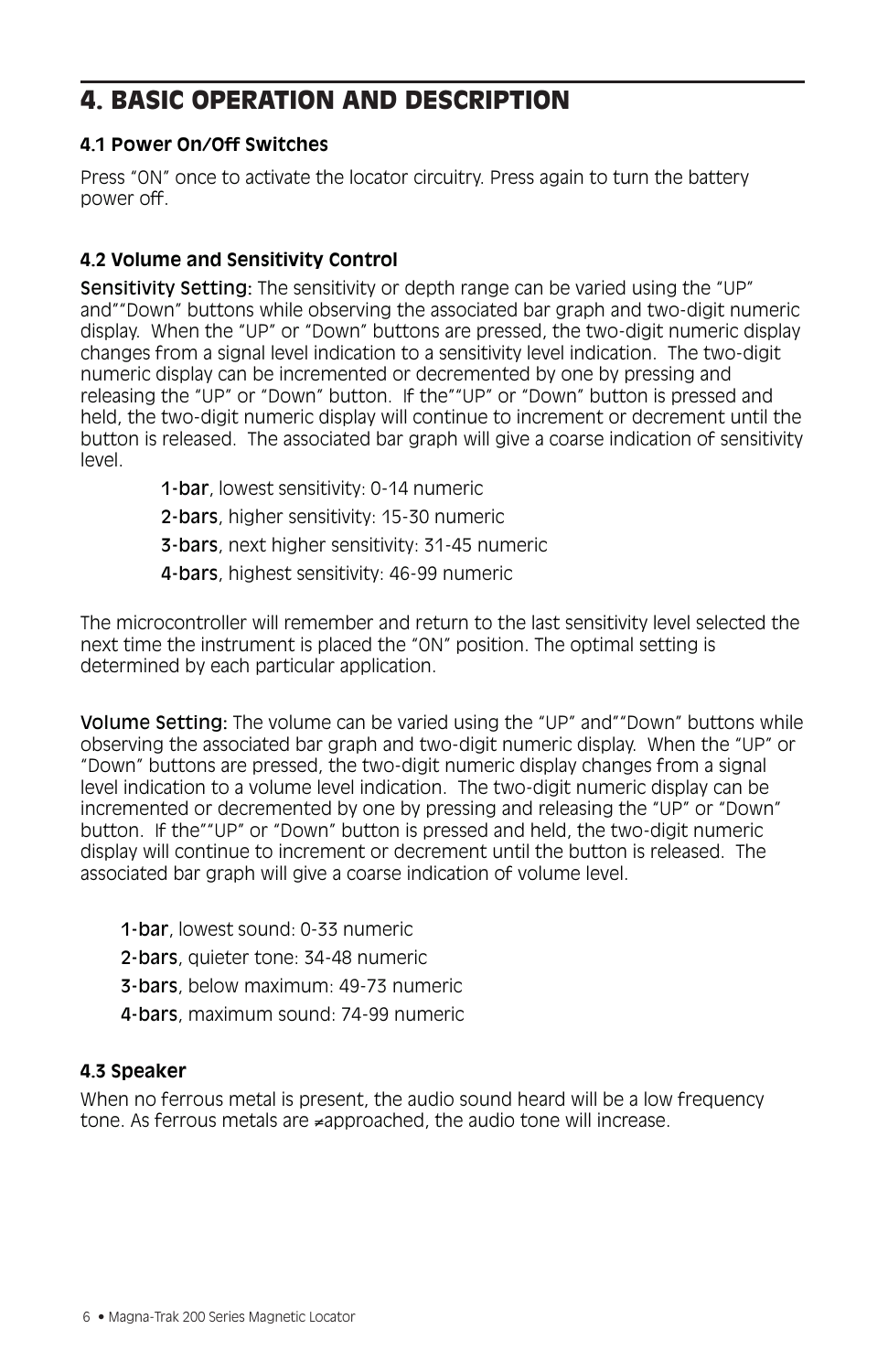## 4. BASIC OPERATION AND DESCRIPTION

#### **4.1 Power On/Off Switches**

Press "ON" once to activate the locator circuitry. Press again to turn the battery power off.

#### **4.2 Volume and Sensitivity Control**

Sensitivity Setting: The sensitivity or depth range can be varied using the "UP" and""Down" buttons while observing the associated bar graph and two-digit numeric display. When the "UP" or "Down" buttons are pressed, the two-digit numeric display changes from a signal level indication to a sensitivity level indication. The two-digit numeric display can be incremented or decremented by one by pressing and releasing the "UP" or "Down" button. If the""UP" or "Down" button is pressed and held, the two-digit numeric display will continue to increment or decrement until the button is released. The associated bar graph will give a coarse indication of sensitivity level.

- 1-bar, lowest sensitivity: 0-14 numeric
- 2-bars, higher sensitivity: 15-30 numeric
- 3-bars, next higher sensitivity: 31-45 numeric
- 4-bars, highest sensitivity: 46-99 numeric

The microcontroller will remember and return to the last sensitivity level selected the next time the instrument is placed the "ON" position. The optimal setting is determined by each particular application.

Volume Setting: The volume can be varied using the "UP" and""Down" buttons while observing the associated bar graph and two-digit numeric display. When the "UP" or "Down" buttons are pressed, the two-digit numeric display changes from a signal level indication to a volume level indication. The two-digit numeric display can be incremented or decremented by one by pressing and releasing the "UP" or "Down" button. If the""UP" or "Down" button is pressed and held, the two-digit numeric display will continue to increment or decrement until the button is released. The associated bar graph will give a coarse indication of volume level.

- 1-bar, lowest sound: 0-33 numeric
- 2-bars, quieter tone: 34-48 numeric
- 3-bars, below maximum: 49-73 numeric
- 4-bars, maximum sound: 74-99 numeric

#### **4.3 Speaker**

When no ferrous metal is present, the audio sound heard will be a low frequency tone. As ferrous metals are ≠approached, the audio tone will increase.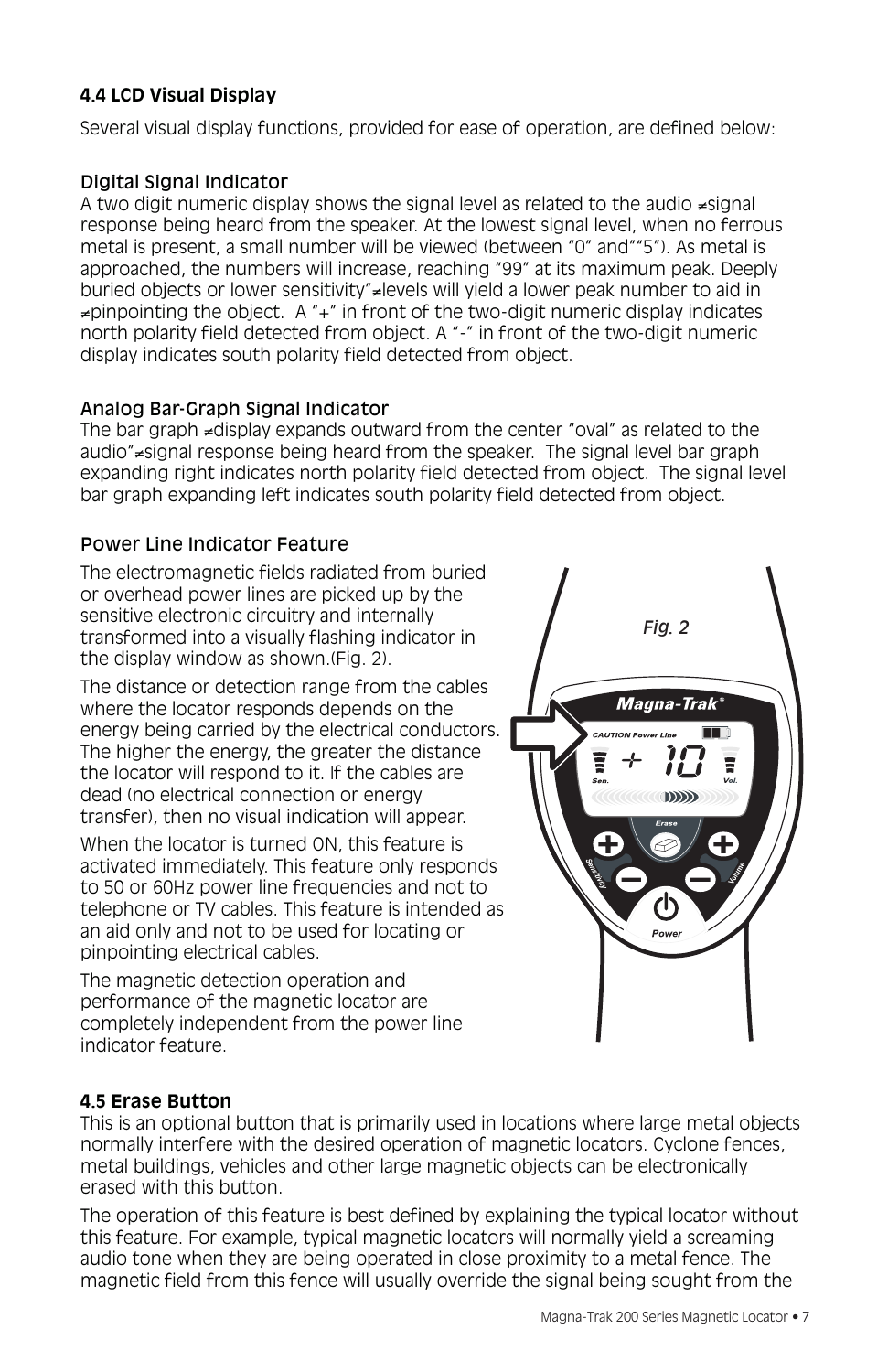## **4.4 LCD Visual Display**

Several visual display functions, provided for ease of operation, are defined below:

#### Digital Signal Indicator

A two digit numeric display shows the signal level as related to the audio ≠signal response being heard from the speaker. At the lowest signal level, when no ferrous metal is present, a small number will be viewed (between "0" and""5"). As metal is approached, the numbers will increase, reaching "99" at its maximum peak. Deeply buried objects or lower sensitivity"≠levels will yield a lower peak number to aid in  $\neq$ pinpointing the object. A " $+$ " in front of the two-digit numeric display indicates north polarity field detected from object. A "-" in front of the two-digit numeric display indicates south polarity field detected from object.

#### Analog Bar-Graph Signal Indicator

The bar graph ≠display expands outward from the center "oval" as related to the audio"≠signal response being heard from the speaker. The signal level bar graph expanding right indicates north polarity field detected from object. The signal level bar graph expanding left indicates south polarity field detected from object.

#### Power Line Indicator Feature

The electromagnetic fields radiated from buried or overhead power lines are picked up by the sensitive electronic circuitry and internally transformed into a visually flashing indicator in the display window as shown.(Fig. 2).

The distance or detection range from the cables where the locator responds depends on the energy being carried by the electrical conductors. The higher the energy, the greater the distance the locator will respond to it. If the cables are dead (no electrical connection or energy transfer), then no visual indication will appear.

When the locator is turned ON, this feature is activated immediately. This feature only responds to 50 or 60Hz power line frequencies and not to telephone or TV cables. This feature is intended as an aid only and not to be used for locating or pinpointing electrical cables.

The magnetic detection operation and performance of the magnetic locator are completely independent from the power line indicator feature.



#### **4.5 Erase Button**

This is an optional button that is primarily used in locations where large metal objects normally interfere with the desired operation of magnetic locators. Cyclone fences, metal buildings, vehicles and other large magnetic objects can be electronically erased with this button.

The operation of this feature is best defined by explaining the typical locator without this feature. For example, typical magnetic locators will normally yield a screaming audio tone when they are being operated in close proximity to a metal fence. The magnetic field from this fence will usually override the signal being sought from the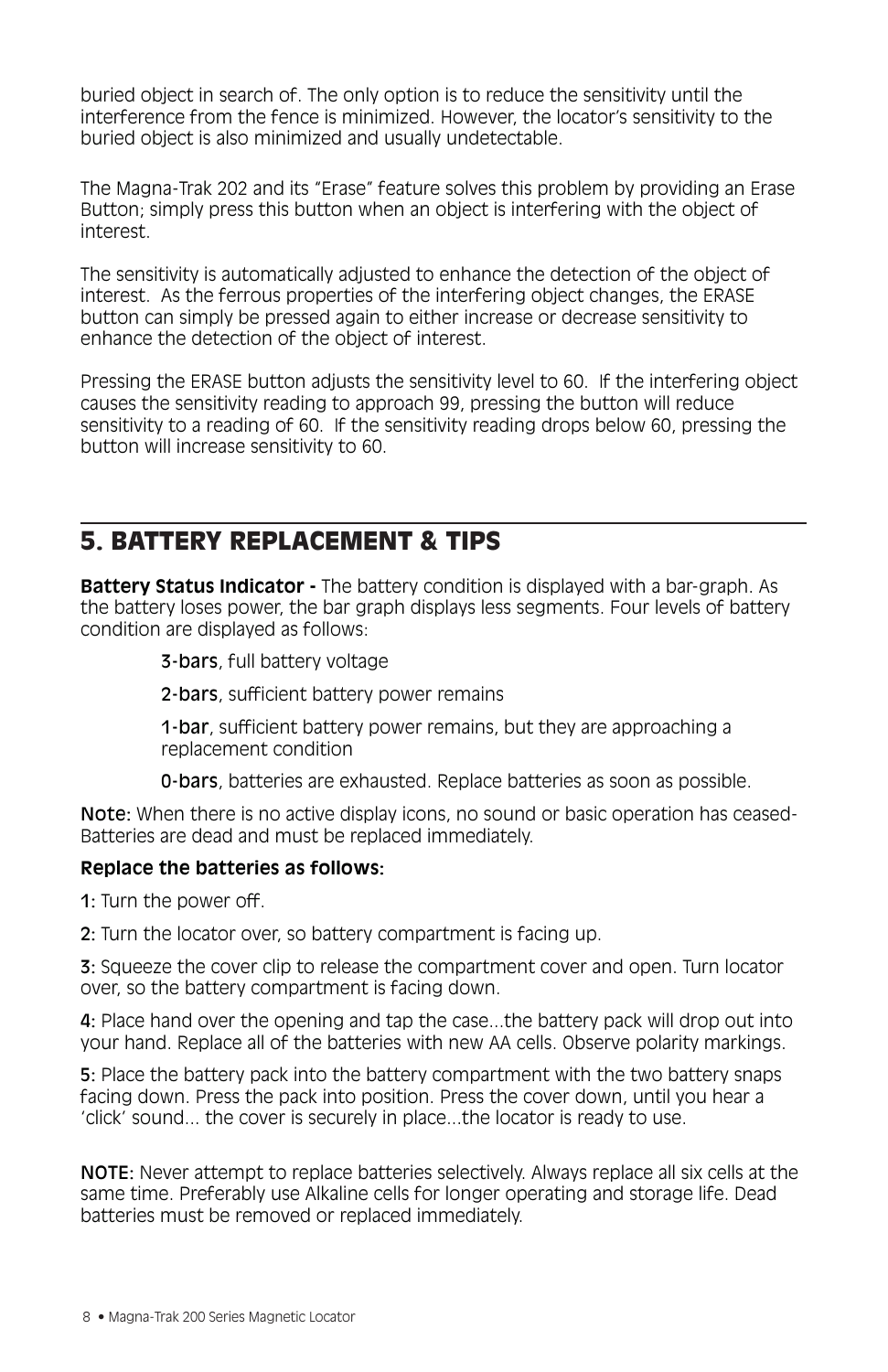buried object in search of. The only option is to reduce the sensitivity until the interference from the fence is minimized. However, the locator's sensitivity to the buried object is also minimized and usually undetectable.

The Magna-Trak 202 and its "Erase" feature solves this problem by providing an Erase Button; simply press this button when an object is interfering with the object of interest.

The sensitivity is automatically adjusted to enhance the detection of the object of interest. As the ferrous properties of the interfering object changes, the ERASE button can simply be pressed again to either increase or decrease sensitivity to enhance the detection of the object of interest.

Pressing the ERASE button adjusts the sensitivity level to 60. If the interfering object causes the sensitivity reading to approach 99, pressing the button will reduce sensitivity to a reading of 60. If the sensitivity reading drops below 60, pressing the button will increase sensitivity to 60.

## 5. BATTERY REPLACEMENT & TIPS

**Battery Status Indicator -** The battery condition is displayed with a bar-graph. As the battery loses power, the bar graph displays less segments. Four levels of battery condition are displayed as follows:

3-bars, full battery voltage

2-bars, sufficient battery power remains

1-bar, sufficient battery power remains, but they are approaching a replacement condition

0-bars, batteries are exhausted. Replace batteries as soon as possible.

Note: When there is no active display icons, no sound or basic operation has ceased-Batteries are dead and must be replaced immediately.

#### **Replace the batteries as follows:**

1: Turn the power off.

2: Turn the locator over, so battery compartment is facing up.

3: Squeeze the cover clip to release the compartment cover and open. Turn locator over, so the battery compartment is facing down.

4: Place hand over the opening and tap the case...the battery pack will drop out into your hand. Replace all of the batteries with new AA cells. Observe polarity markings.

5: Place the battery pack into the battery compartment with the two battery snaps facing down. Press the pack into position. Press the cover down, until you hear a 'click' sound... the cover is securely in place...the locator is ready to use.

NOTE: Never attempt to replace batteries selectively. Always replace all six cells at the same time. Preferably use Alkaline cells for longer operating and storage life. Dead batteries must be removed or replaced immediately.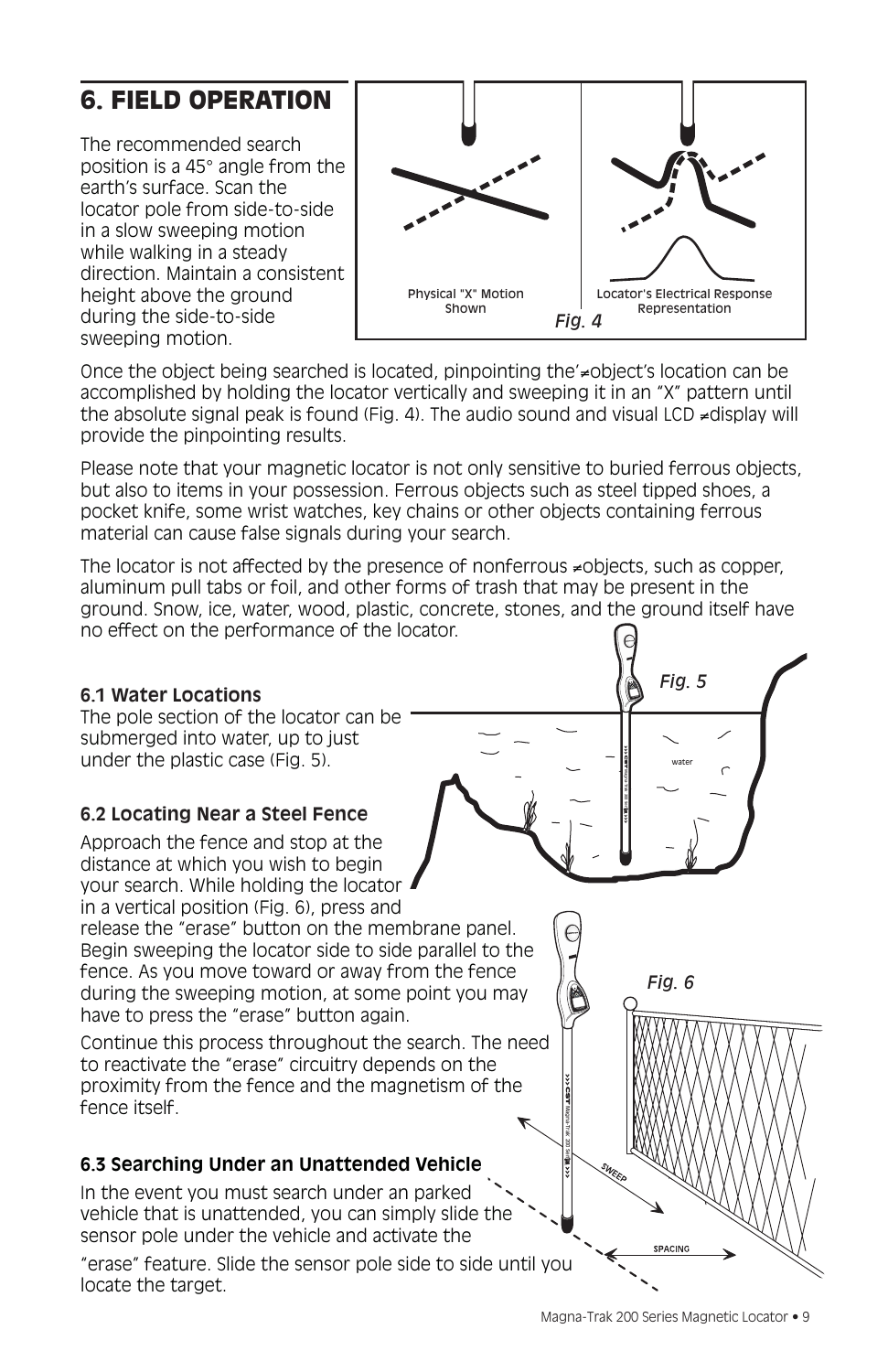## 6. FIELD OPERATION

The recommended search position is a 45° angle from the earth's surface. Scan the locator pole from side-to-side in a slow sweeping motion while walking in a steady direction. Maintain a consistent height above the ground during the side-to-side sweeping motion.



Once the object being searched is located, pinpointing the'≠object's location can be accomplished by holding the locator vertically and sweeping it in an "X" pattern until the absolute signal peak is found (Fig. 4). The audio sound and visual LCD ≠display will provide the pinpointing results.

Please note that your magnetic locator is not only sensitive to buried ferrous objects, but also to items in your possession. Ferrous objects such as steel tipped shoes, a pocket knife, some wrist watches, key chains or other objects containing ferrous material can cause false signals during your search.

The locator is not affected by the presence of nonferrous ≠objects, such as copper, aluminum pull tabs or foil, and other forms of trash that may be present in the ground. Snow, ice, water, wood, plastic, concrete, stones, and the ground itself have no effect on the performance of the locator.

#### **6.1 Water Locations**

The pole section of the locator can be submerged into water, up to just under the plastic case (Fig. 5).

#### **6.2 Locating Near a Steel Fence**

Approach the fence and stop at the distance at which you wish to begin your search. While holding the locator in a vertical position (Fig. 6), press and

release the "erase" button on the membrane panel. Begin sweeping the locator side to side parallel to the fence. As you move toward or away from the fence during the sweeping motion, at some point you may have to press the "erase" button again.

Continue this process throughout the search. The need to reactivate the "erase" circuitry depends on the proximity from the fence and the magnetism of the fence itself.

## **6.3 Searching Under an Unattended Vehicle**

In the event you must search under an parked vehicle that is unattended, you can simply slide the sensor pole under the vehicle and activate the

"erase" feature. Slide the sensor pole side to side until you locate the target.



*Fig. 5*

® 200 Series Series Water<br>US<br>X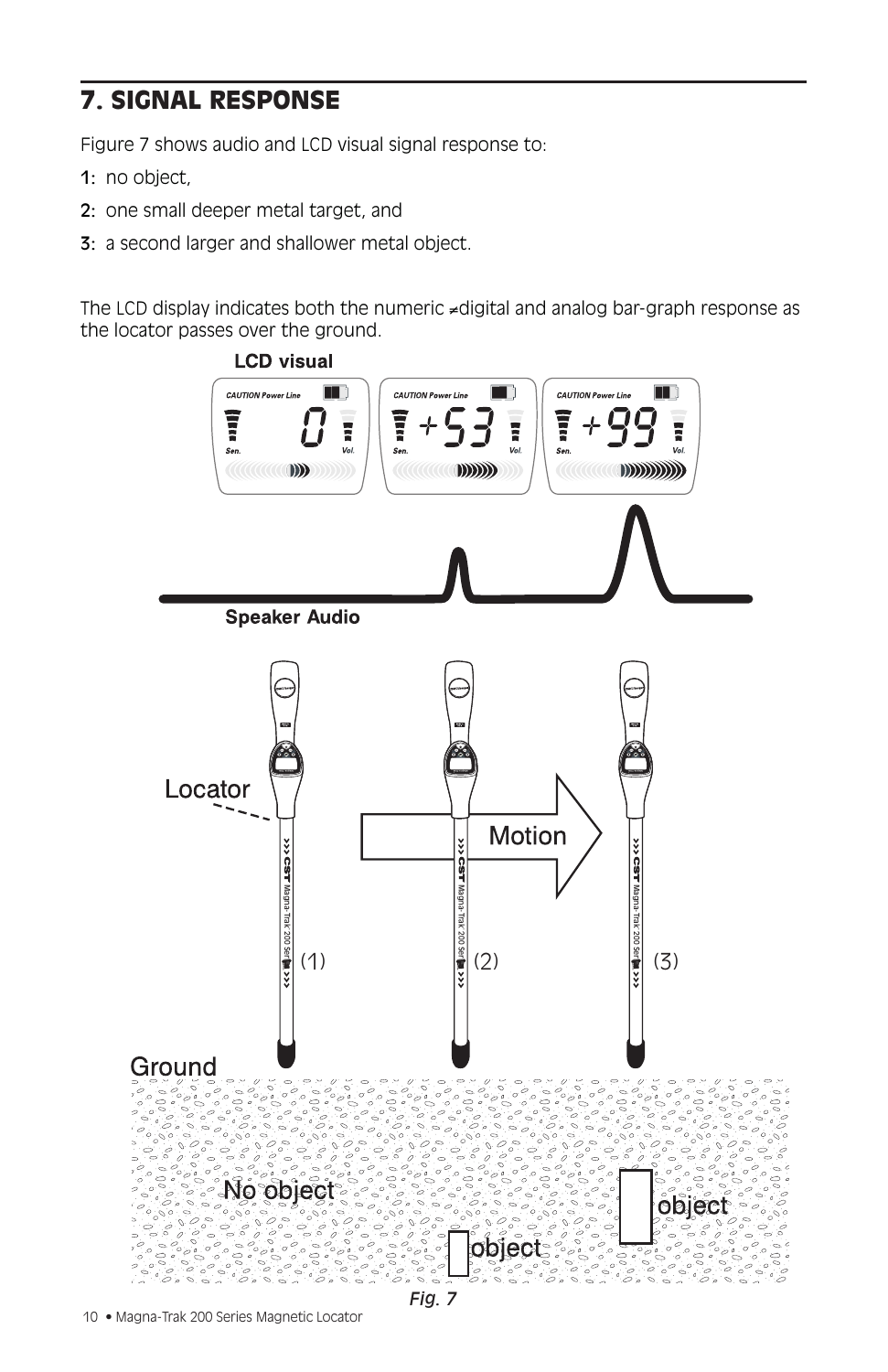# 7. SIGNAL RESPONSE

Figure 7 shows audio and LCD visual signal response to:

- 1: no object,
- 2: one small deeper metal target, and
- 3: a second larger and shallower metal object.

The LCD display indicates both the numeric ≠digital and analog bar-graph response as the locator passes over the ground.

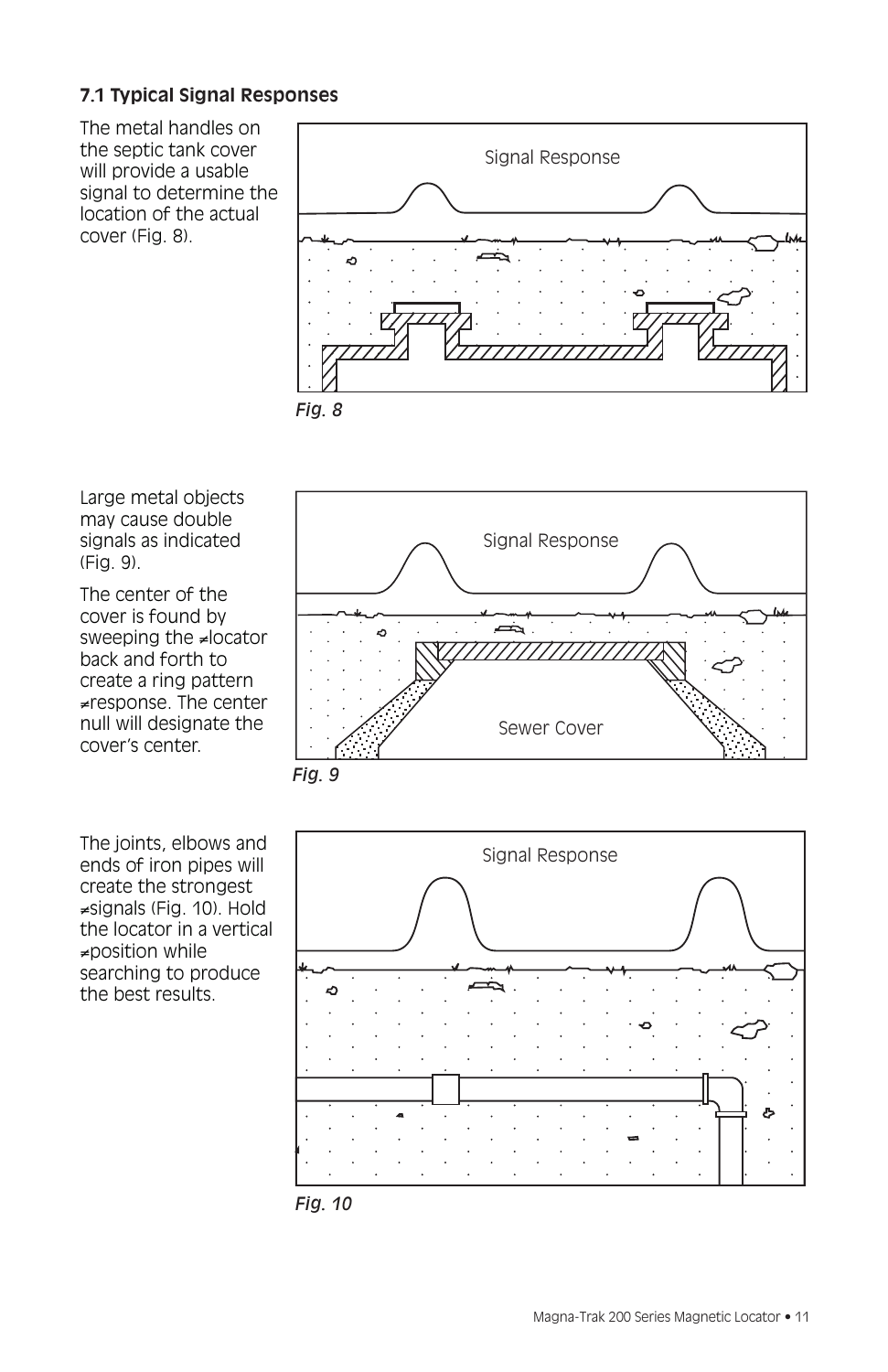## **7.1 Typical Signal Responses**

The metal handles on the septic tank cover will provide a usable signal to determine the location of the actual cover (Fig. 8).





Large metal objects may cause double signals as indicated (Fig. 9).

The center of the cover is found by sweeping the ≠locator back and forth to create a ring pattern ≠response. The center null will designate the cover's center.

The joints, elbows and ends of iron pipes will create the strongest ≠signals (Fig. 10). Hold the locator in a vertical ≠position while searching to produce the best results.





*Fig. 10*